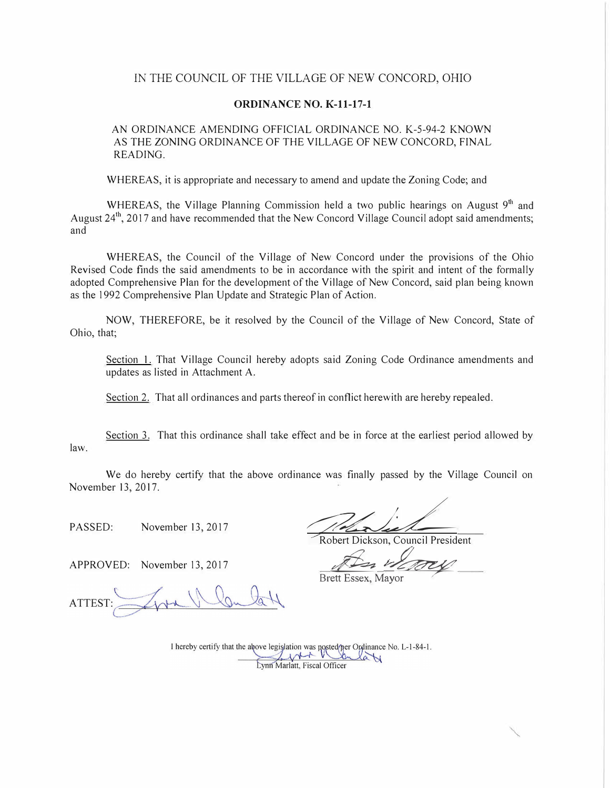#### IN THE COUNCIL OF THE VILLAGE OF NEW CONCORD, OHIO

#### **ORDINANCE NO. K-11-17-1**

AN ORDINANCE AMENDING OFFICIAL ORDINANCE NO. K-5-94-2 KNOWN AS THE ZONING ORDINANCE OF THE VILLAGE OF NEW CONCORD, FINAL READING.

WHEREAS, it is appropriate and necessary to amend and update the Zoning Code; and

WHEREAS, the Village Planning Commission held a two public hearings on August 9<sup>th</sup> and August 24<sup>th</sup>, 2017 and have recommended that the New Concord Village Council adopt said amendments; and

WHEREAS, the Council of the Village of New Concord under the provisions of the Ohio Revised Code finds the said amendments to be in accordance with the spirit and intent of the formally adopted Comprehensive Plan for the development of the Village of New Concord, said plan being known as the 1992 Comprehensive Plan Update and Strategic Plan of Action.

NOW, THEREFORE, be it resolved by the Council of the Village of New Concord, State of Ohio, that;

Section 1. That Village Council hereby adopts said Zoning Code Ordinance amendments and updates as listed in Attachment A.

Section 2. That all ordinances and parts thereof in conflict herewith are hereby repealed.

law. Section 3. That this ordinance shall take effect and be in force at the earliest period allowed by

We do hereby certify that the above ordinance was finally passed by the Village Council on November 13, 2017.

APPROVED: November 13, 2017

**ATTEST** 

PASSED: November 13, 2017<br>Robert Dickson, Council President

**Brett Essex, Mayor** 

I hereby certify that the above legislation was posted per Ordinance No. L-1-84-1.<br>Evan Marlatt, Fiscal Officer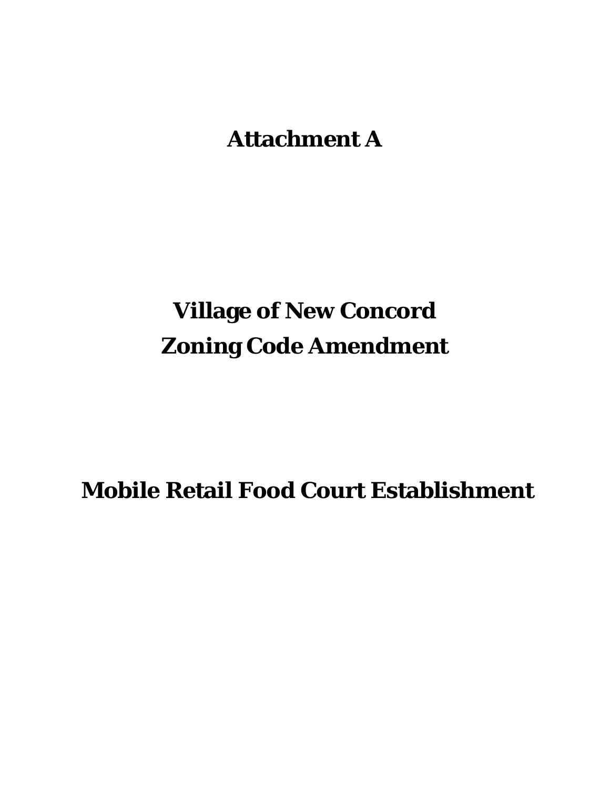**Attachment A**

# **Village of New Concord Zoning Code Amendment**

**Mobile Retail Food Court Establishment**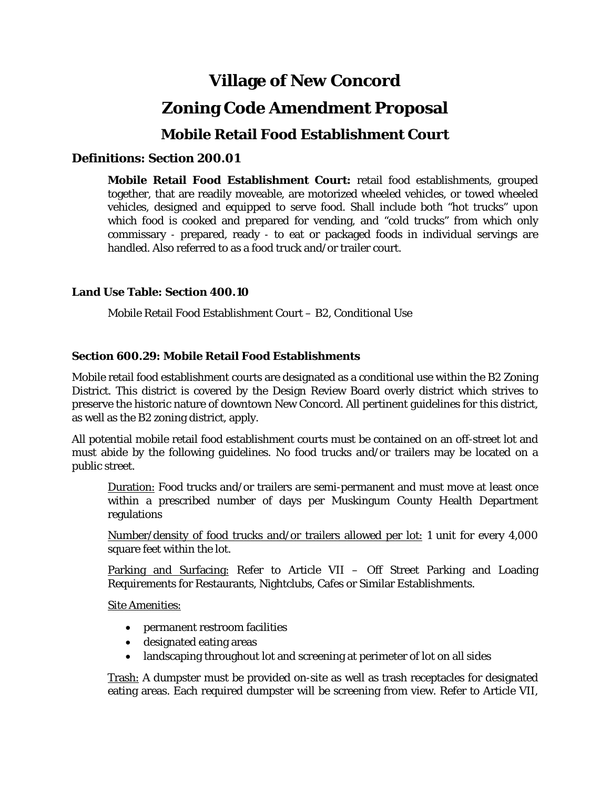# **Village of New Concord**

## **Zoning Code Amendment Proposal**

## **Mobile Retail Food Establishment Court**

## **Definitions: Section 200.01**

**Mobile Retail Food Establishment Court:** retail food establishments, grouped together, that are readily moveable, are motorized wheeled vehicles, or towed wheeled vehicles, designed and equipped to serve food. Shall include both "hot trucks" upon which food is cooked and prepared for vending, and "cold trucks" from which only commissary ‐ prepared, ready ‐ to eat or packaged foods in individual servings are handled. Also referred to as a food truck and/or trailer court.

### **Land Use Table: Section 400.10**

Mobile Retail Food Establishment Court – B2, Conditional Use

### **Section 600.29: Mobile Retail Food Establishments**

Mobile retail food establishment courts are designated as a conditional use within the B2 Zoning District. This district is covered by the Design Review Board overly district which strives to preserve the historic nature of downtown New Concord. All pertinent guidelines for this district, as well as the B2 zoning district, apply.

All potential mobile retail food establishment courts must be contained on an off-street lot and must abide by the following guidelines. No food trucks and/or trailers may be located on a public street.

Duration: Food trucks and/or trailers are semi-permanent and must move at least once within a prescribed number of days per Muskingum County Health Department regulations

Number/density of food trucks and/or trailers allowed per lot: 1 unit for every 4,000 square feet within the lot.

Parking and Surfacing: Refer to Article VII - Off Street Parking and Loading Requirements for Restaurants, Nightclubs, Cafes or Similar Establishments.

Site Amenities:

- permanent restroom facilities
- designated eating areas
- landscaping throughout lot and screening at perimeter of lot on all sides

Trash: A dumpster must be provided on-site as well as trash receptacles for designated eating areas. Each required dumpster will be screening from view. Refer to Article VII,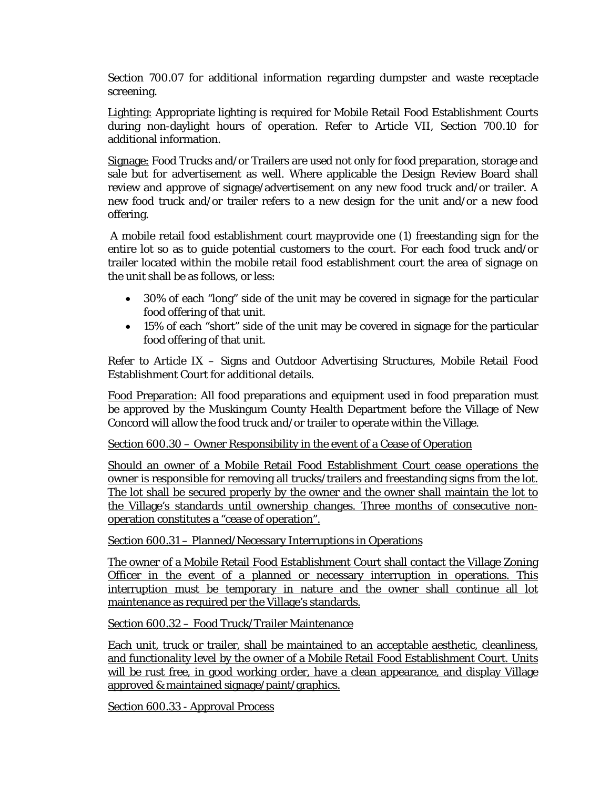Section 700.07 for additional information regarding dumpster and waste receptacle screening.

Lighting: Appropriate lighting is required for Mobile Retail Food Establishment Courts during non-daylight hours of operation. Refer to Article VII, Section 700.10 for additional information.

Signage: Food Trucks and/or Trailers are used not only for food preparation, storage and sale but for advertisement as well. Where applicable the Design Review Board shall review and approve of signage/advertisement on any new food truck and/or trailer. A new food truck and/or trailer refers to a new design for the unit and/or a new food offering.

A mobile retail food establishment court mayprovide one (1) freestanding sign for the entire lot so as to guide potential customers to the court. For each food truck and/or trailer located within the mobile retail food establishment court the area of signage on the unit shall be as follows, or less:

- 30% of each "long" side of the unit may be covered in signage for the particular food offering of that unit.
- 15% of each "short" side of the unit may be covered in signage for the particular food offering of that unit.

Refer to Article IX – Signs and Outdoor Advertising Structures, Mobile Retail Food Establishment Court for additional details.

Food Preparation: All food preparations and equipment used in food preparation must be approved by the Muskingum County Health Department before the Village of New Concord will allow the food truck and/or trailer to operate within the Village.

Section 600.30 – Owner Responsibility in the event of a Cease of Operation

Should an owner of a Mobile Retail Food Establishment Court cease operations the owner is responsible for removing all trucks/trailers and freestanding signs from the lot. The lot shall be secured properly by the owner and the owner shall maintain the lot to the Village's standards until ownership changes. Three months of consecutive nonoperation constitutes a "cease of operation".

Section 600.31 – Planned/Necessary Interruptions in Operations

The owner of a Mobile Retail Food Establishment Court shall contact the Village Zoning Officer in the event of a planned or necessary interruption in operations. This interruption must be temporary in nature and the owner shall continue all lot maintenance as required per the Village's standards.

Section 600.32 – Food Truck/Trailer Maintenance

Each unit, truck or trailer, shall be maintained to an acceptable aesthetic, cleanliness, and functionality level by the owner of a Mobile Retail Food Establishment Court. Units will be rust free, in good working order, have a clean appearance, and display Village approved & maintained signage/paint/graphics.

Section 600.33 - Approval Process